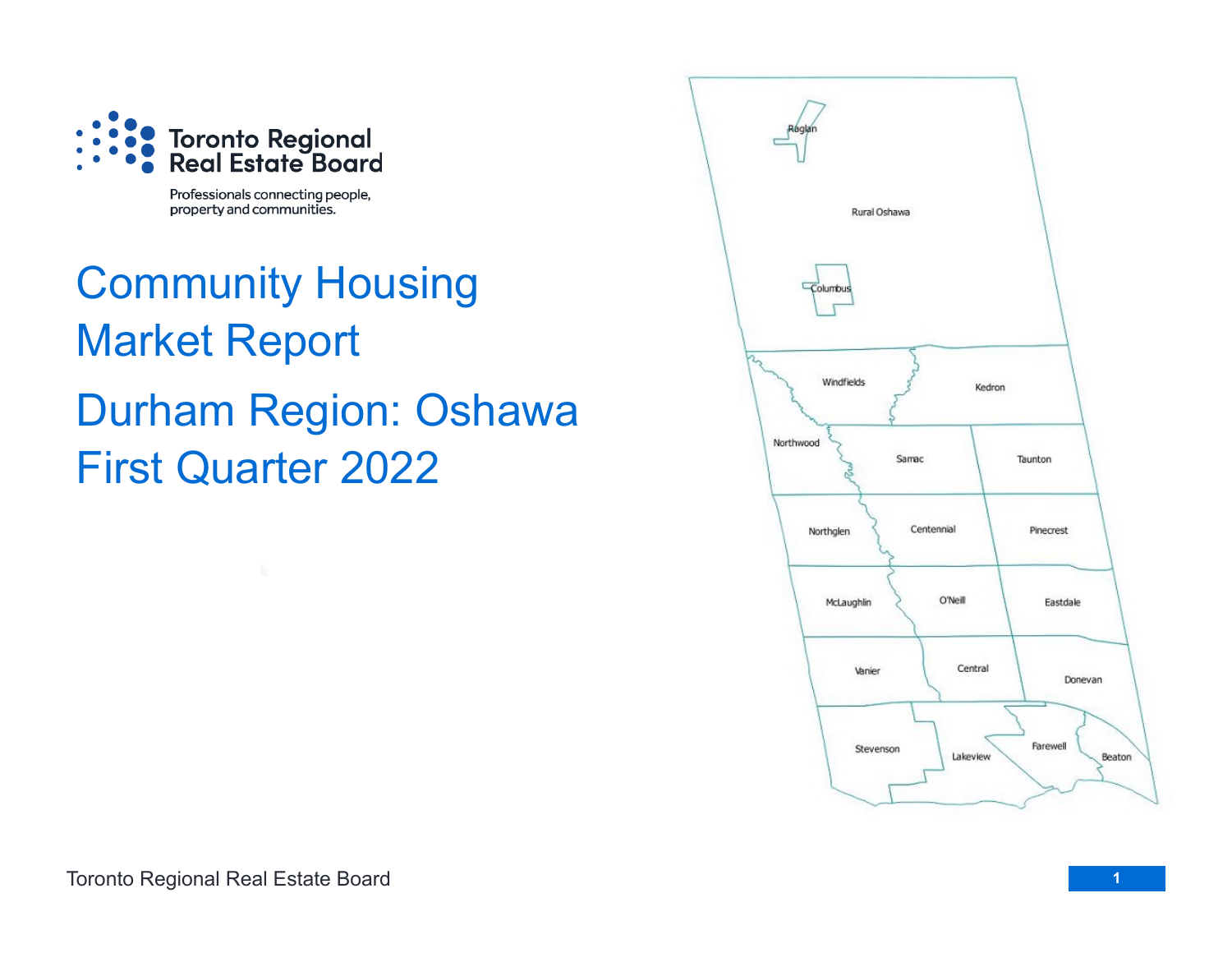

Professionals connecting people, property and communities.

# Community Housing Market Report Durham Region: Oshawa First Quarter 2022

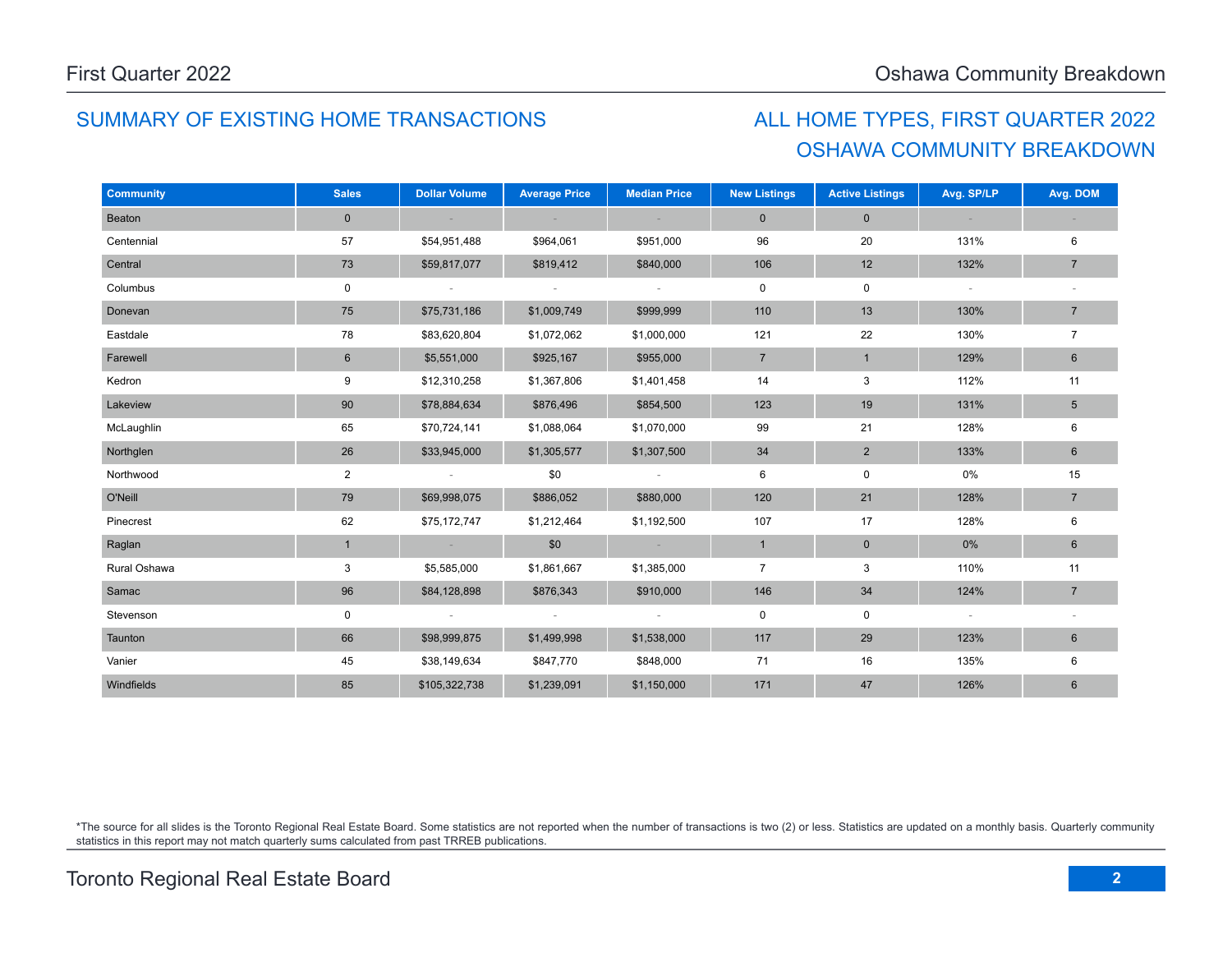## SUMMARY OF EXISTING HOME TRANSACTIONS ALL HOME TYPES, FIRST QUARTER 2022

# OSHAWA COMMUNITY BREAKDOWN

| <b>Community</b> | <b>Sales</b>   | <b>Dollar Volume</b> | <b>Average Price</b> | <b>Median Price</b> | <b>New Listings</b> | <b>Active Listings</b> | Avg. SP/LP               | Avg. DOM        |
|------------------|----------------|----------------------|----------------------|---------------------|---------------------|------------------------|--------------------------|-----------------|
| Beaton           | $\mathbf 0$    |                      |                      |                     | $\mathbf 0$         | $\mathbf 0$            |                          |                 |
| Centennial       | 57             | \$54,951,488         | \$964,061            | \$951,000           | 96                  | 20                     | 131%                     | 6               |
| Central          | 73             | \$59,817,077         | \$819,412            | \$840,000           | 106                 | 12                     | 132%                     | $\overline{7}$  |
| Columbus         | $\mathbf 0$    | ÷                    | $\sim$               | $\sim$              | 0                   | $\mathbf 0$            | $\overline{\phantom{a}}$ |                 |
| Donevan          | 75             | \$75,731,186         | \$1,009,749          | \$999,999           | 110                 | 13                     | 130%                     | $\overline{7}$  |
| Eastdale         | 78             | \$83,620,804         | \$1,072,062          | \$1,000,000         | 121                 | 22                     | 130%                     | $\overline{7}$  |
| Farewell         | 6              | \$5,551,000          | \$925,167            | \$955,000           | $\overline{7}$      | $\mathbf{1}$           | 129%                     | $\,6\,$         |
| Kedron           | 9              | \$12,310,258         | \$1,367,806          | \$1,401,458         | 14                  | 3                      | 112%                     | 11              |
| Lakeview         | 90             | \$78,884,634         | \$876,496            | \$854,500           | 123                 | 19                     | 131%                     | $5\overline{)}$ |
| McLaughlin       | 65             | \$70,724,141         | \$1,088,064          | \$1,070,000         | 99                  | 21                     | 128%                     | 6               |
| Northglen        | 26             | \$33,945,000         | \$1,305,577          | \$1,307,500         | 34                  | $\overline{2}$         | 133%                     | 6               |
| Northwood        | $\overline{2}$ | $\sim$               | \$0                  | $\sim$              | 6                   | $\mathsf 0$            | 0%                       | 15              |
| O'Neill          | 79             | \$69,998,075         | \$886,052            | \$880,000           | 120                 | 21                     | 128%                     | $\overline{7}$  |
| Pinecrest        | 62             | \$75,172,747         | \$1,212,464          | \$1,192,500         | 107                 | 17                     | 128%                     | 6               |
| Raglan           | $\mathbf{1}$   |                      | \$0                  |                     | $\mathbf{1}$        | $\pmb{0}$              | 0%                       | $6\phantom{1}$  |
| Rural Oshawa     | 3              | \$5,585,000          | \$1,861,667          | \$1,385,000         | $\overline{7}$      | 3                      | 110%                     | 11              |
| Samac            | 96             | \$84,128,898         | \$876,343            | \$910,000           | 146                 | 34                     | 124%                     | $\overline{7}$  |
| Stevenson        | 0              |                      |                      | $\sim$              | 0                   | $\mathbf 0$            | $\overline{\phantom{a}}$ |                 |
| Taunton          | 66             | \$98,999,875         | \$1,499,998          | \$1,538,000         | 117                 | 29                     | 123%                     | 6               |
| Vanier           | 45             | \$38,149,634         | \$847,770            | \$848,000           | 71                  | 16                     | 135%                     | 6               |
| Windfields       | 85             | \$105,322,738        | \$1,239,091          | \$1,150,000         | 171                 | 47                     | 126%                     | $6\phantom{1}$  |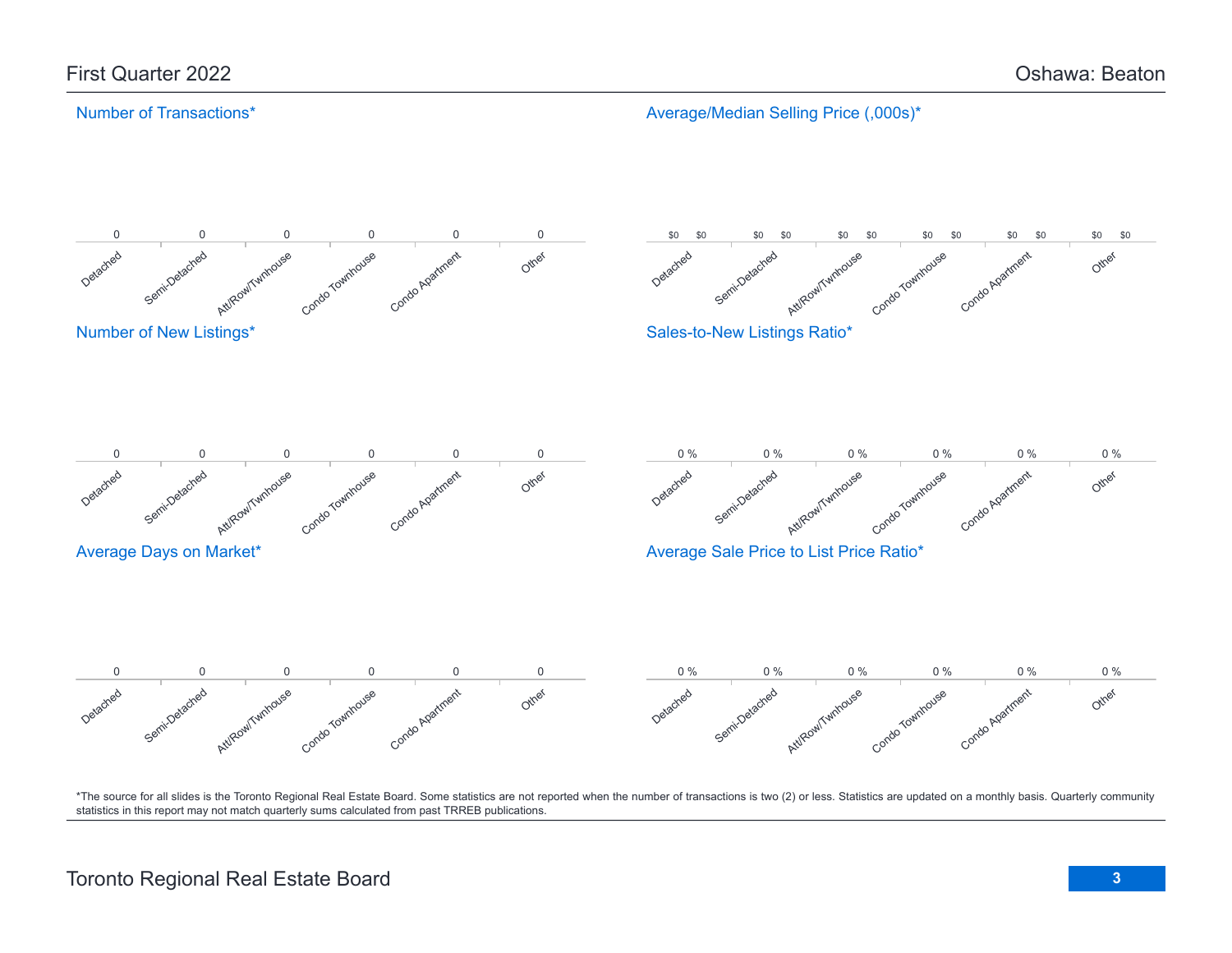### Number of Transactions\*

Average/Median Selling Price (,000s)\*

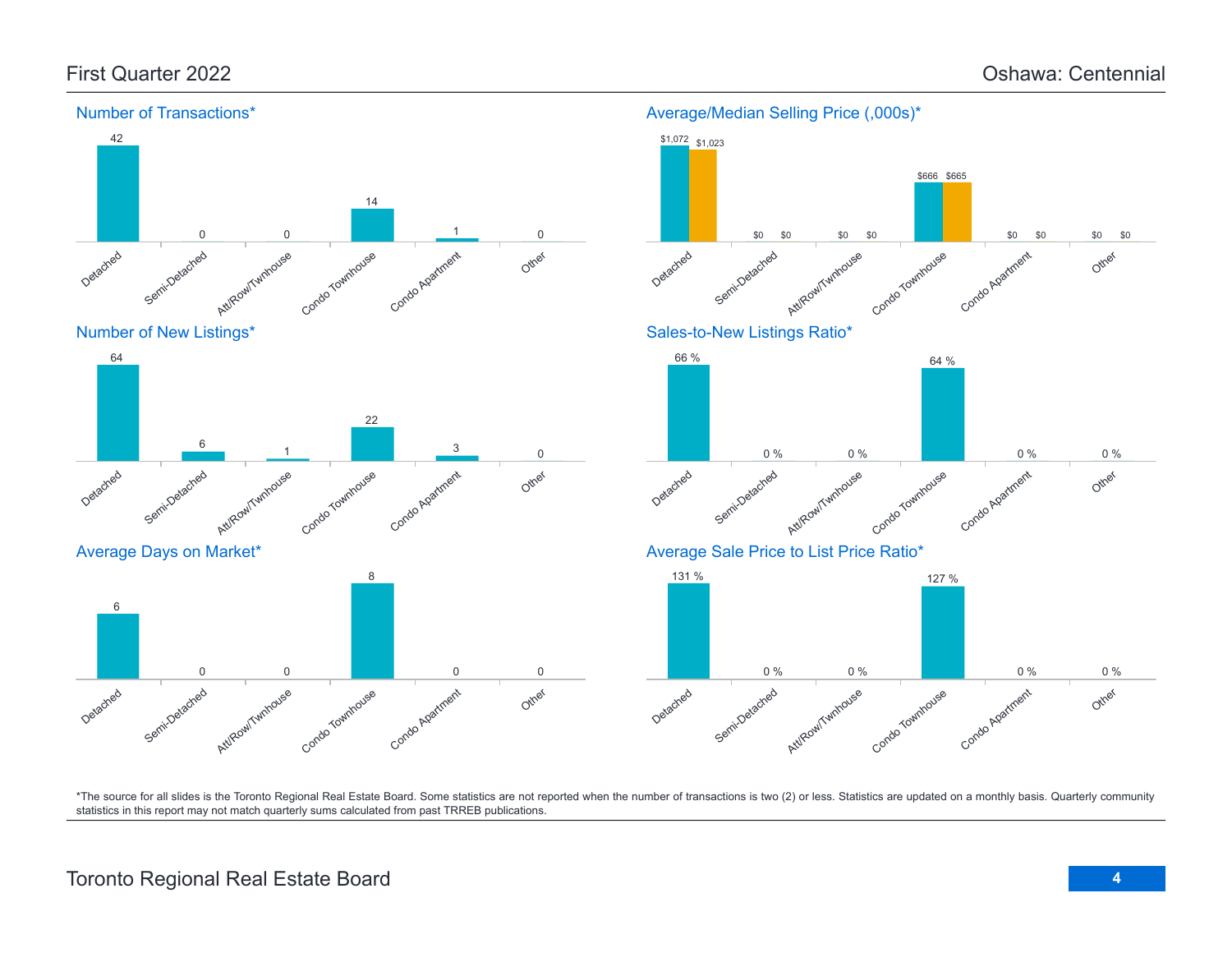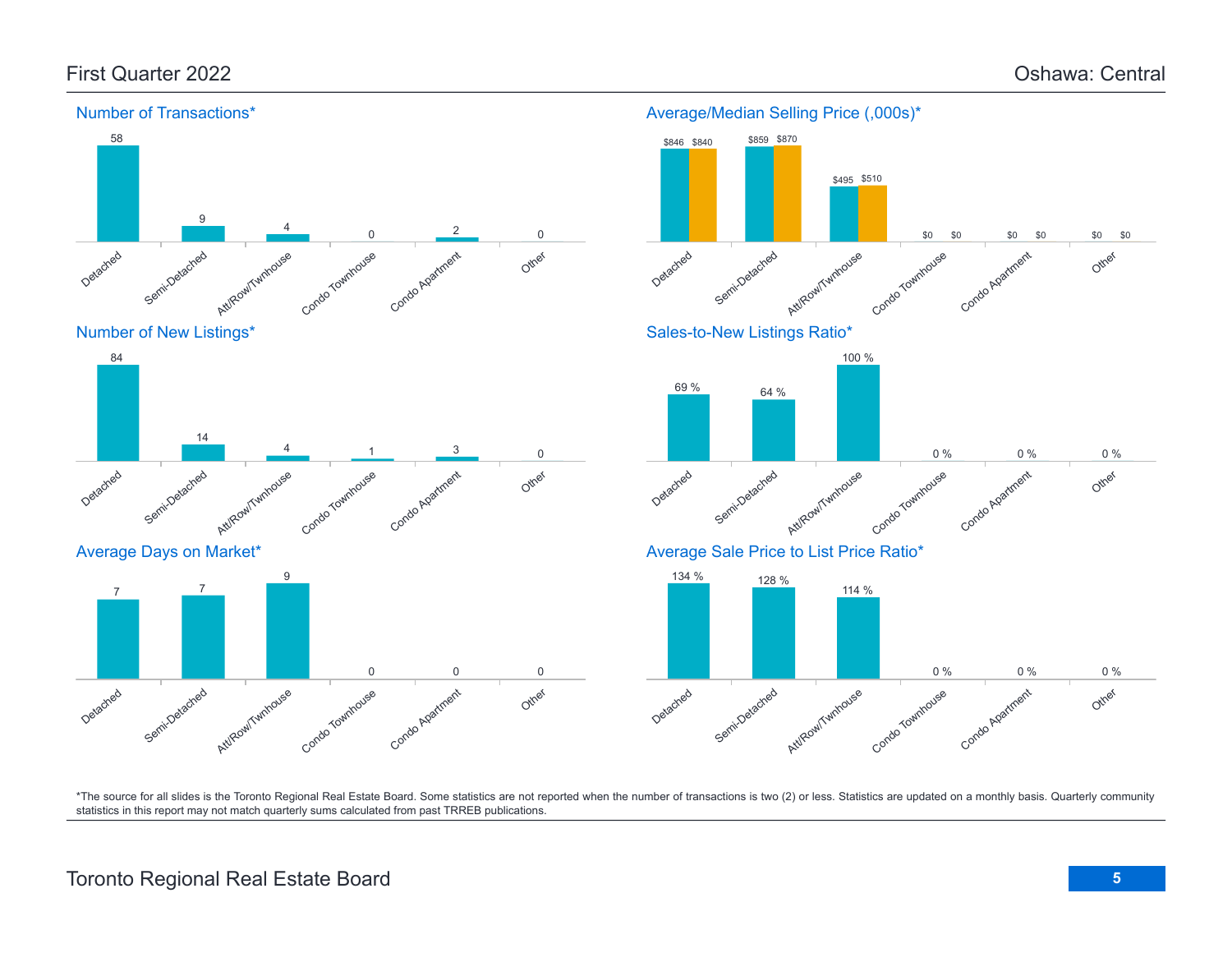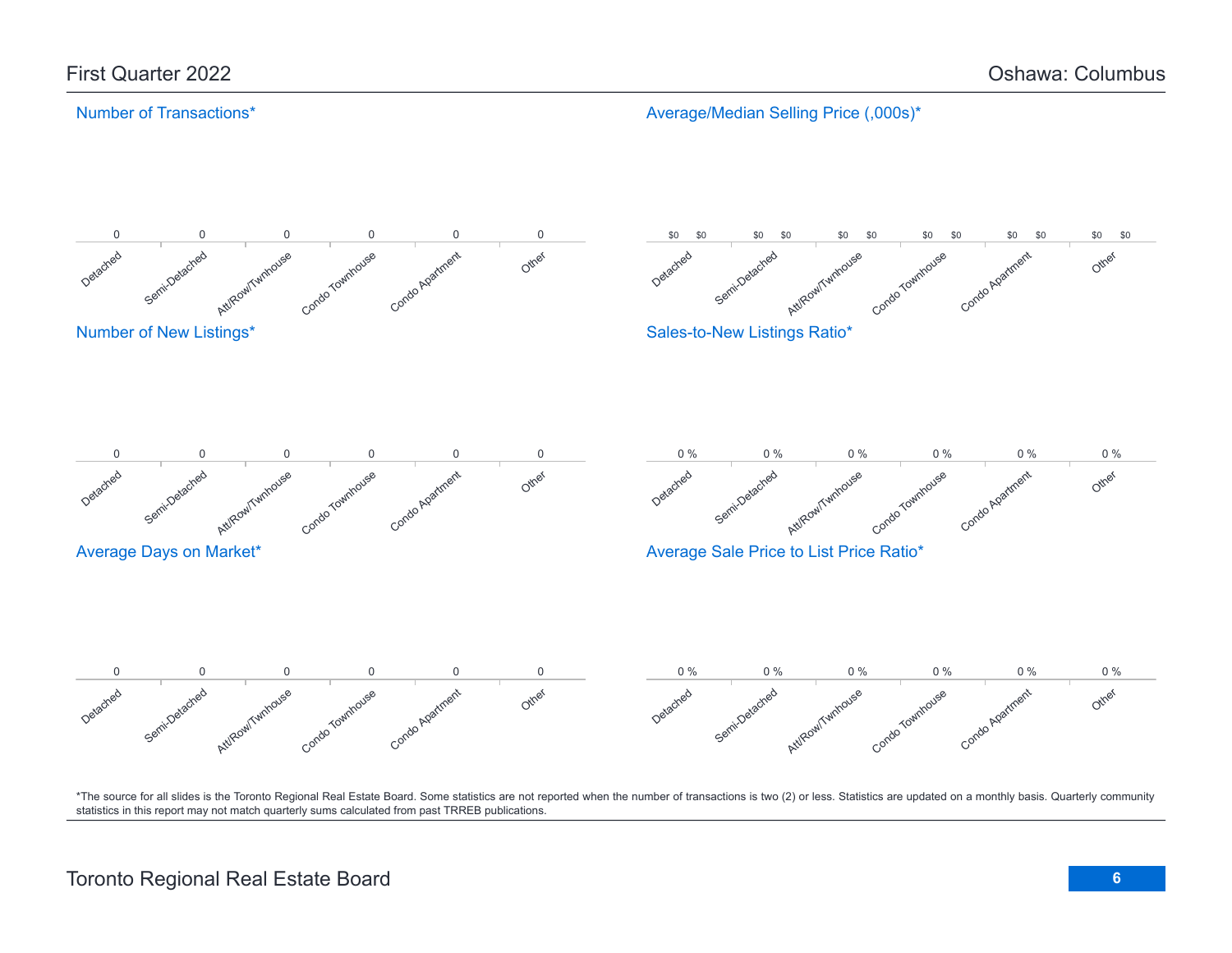### Number of Transactions\*

Average/Median Selling Price (,000s)\*

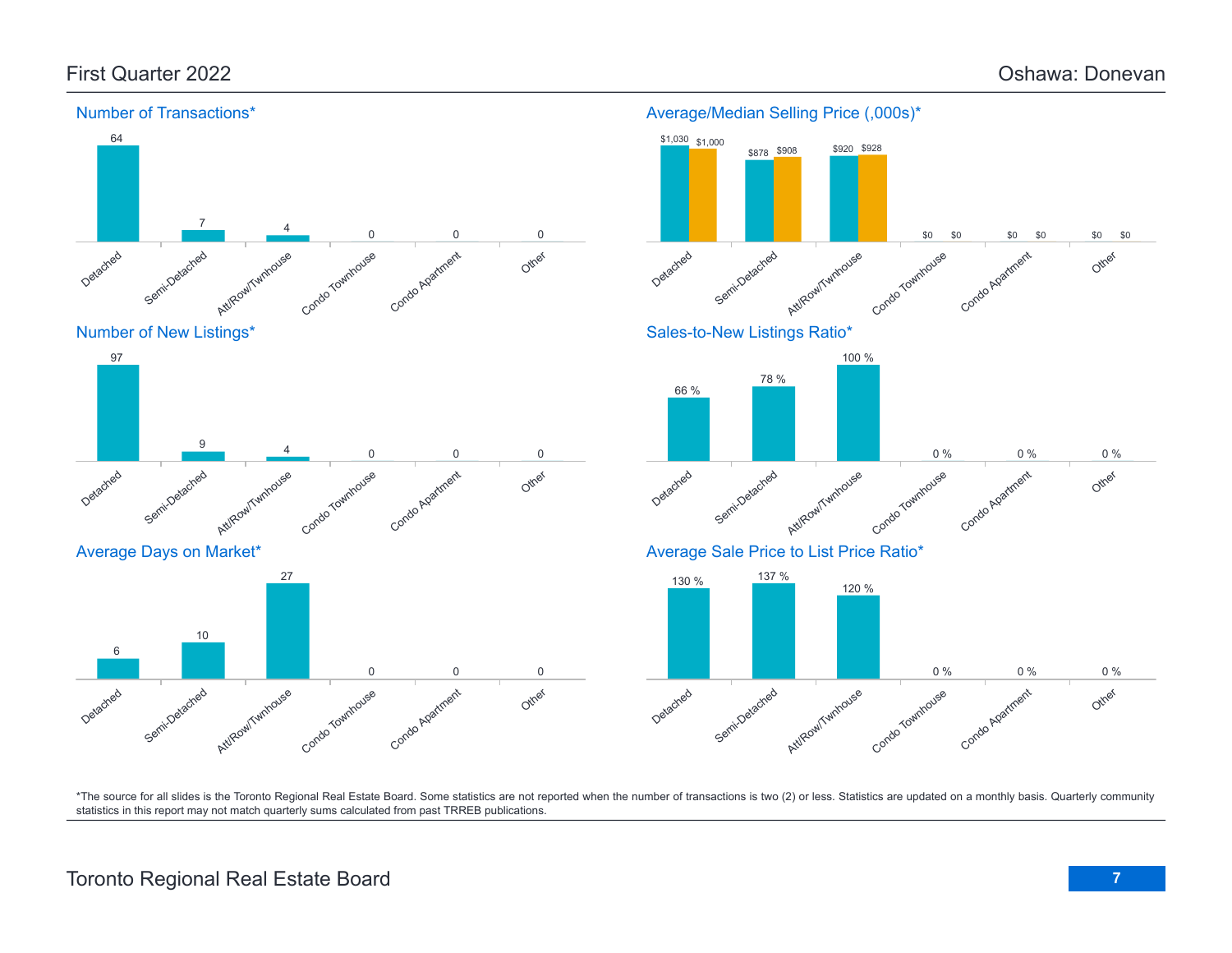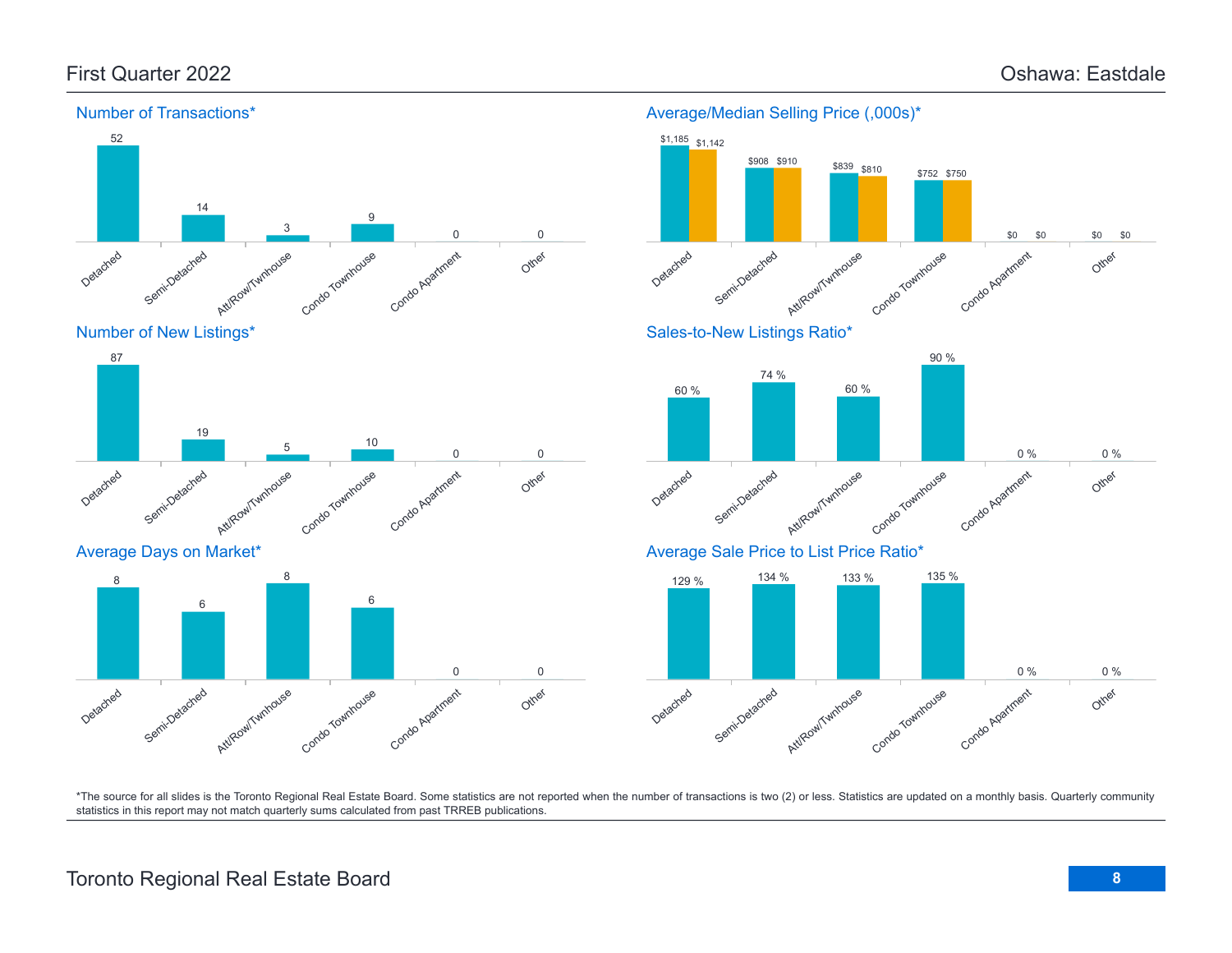Other

Other

0 % 0 %

\$0 \$0 \$0 \$0



Number of Transactions\*

\*The source for all slides is the Toronto Regional Real Estate Board. Some statistics are not reported when the number of transactions is two (2) or less. Statistics are updated on a monthly basis. Quarterly community statistics in this report may not match quarterly sums calculated from past TRREB publications.

# Toronto Regional Real Estate Board **8**

Average/Median Selling Price (,000s)\*

Condo Townhouse

Condo Townhouse

Condo Townhouse

\$752 \$750

90 %

\$839 \$810

60 %

Condo Agatment

Condo Apartment

Condo Apartment

Other

0 % 0 %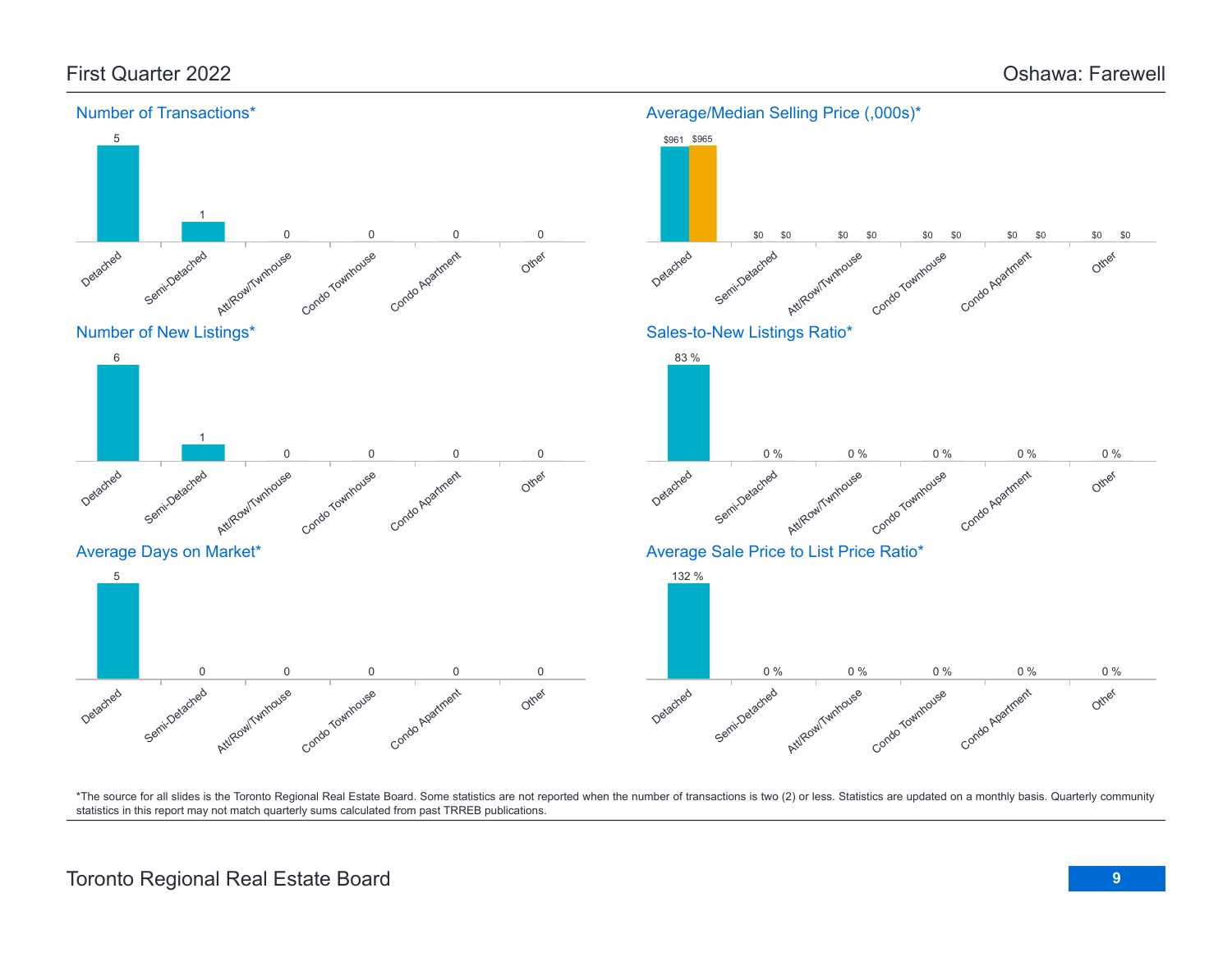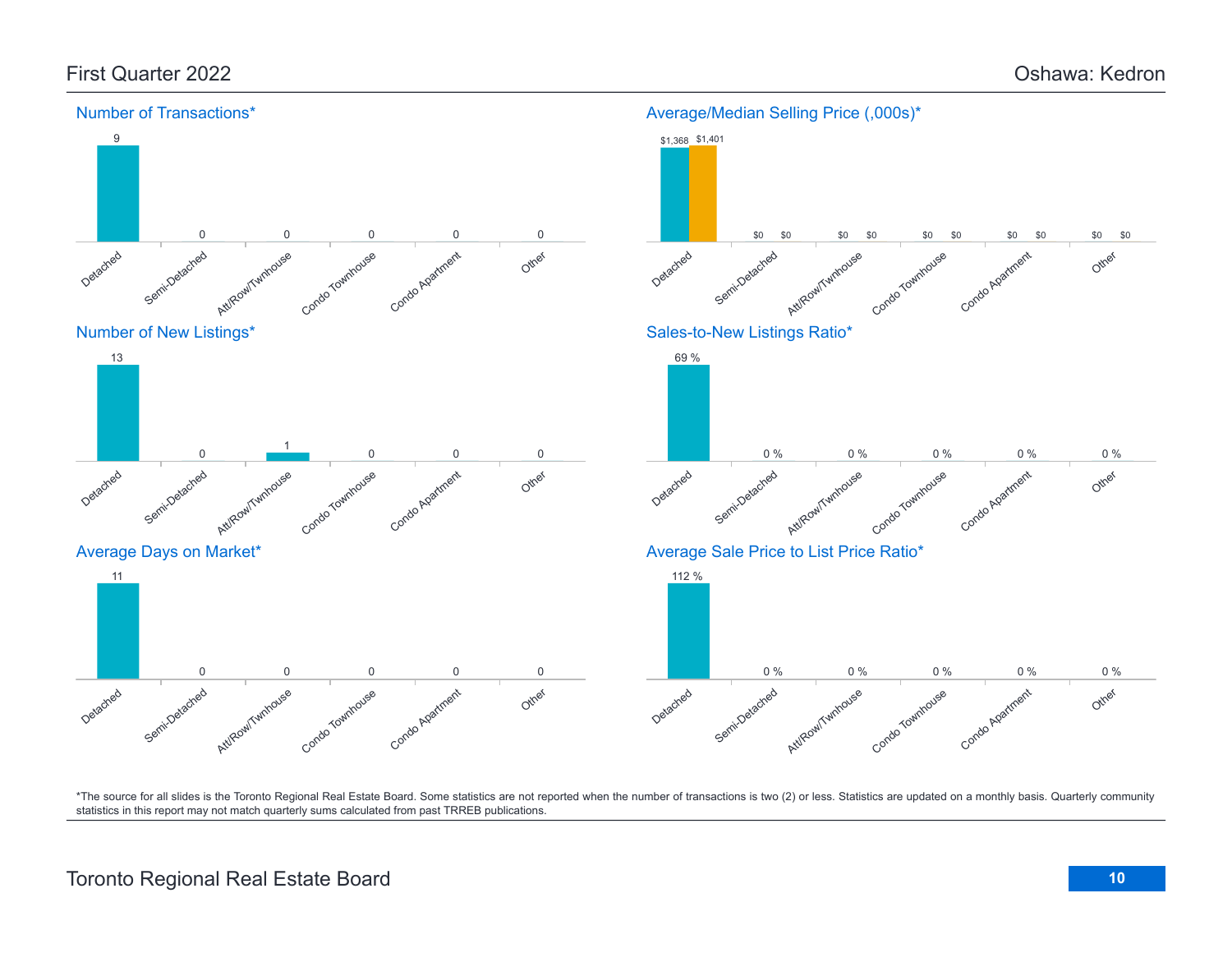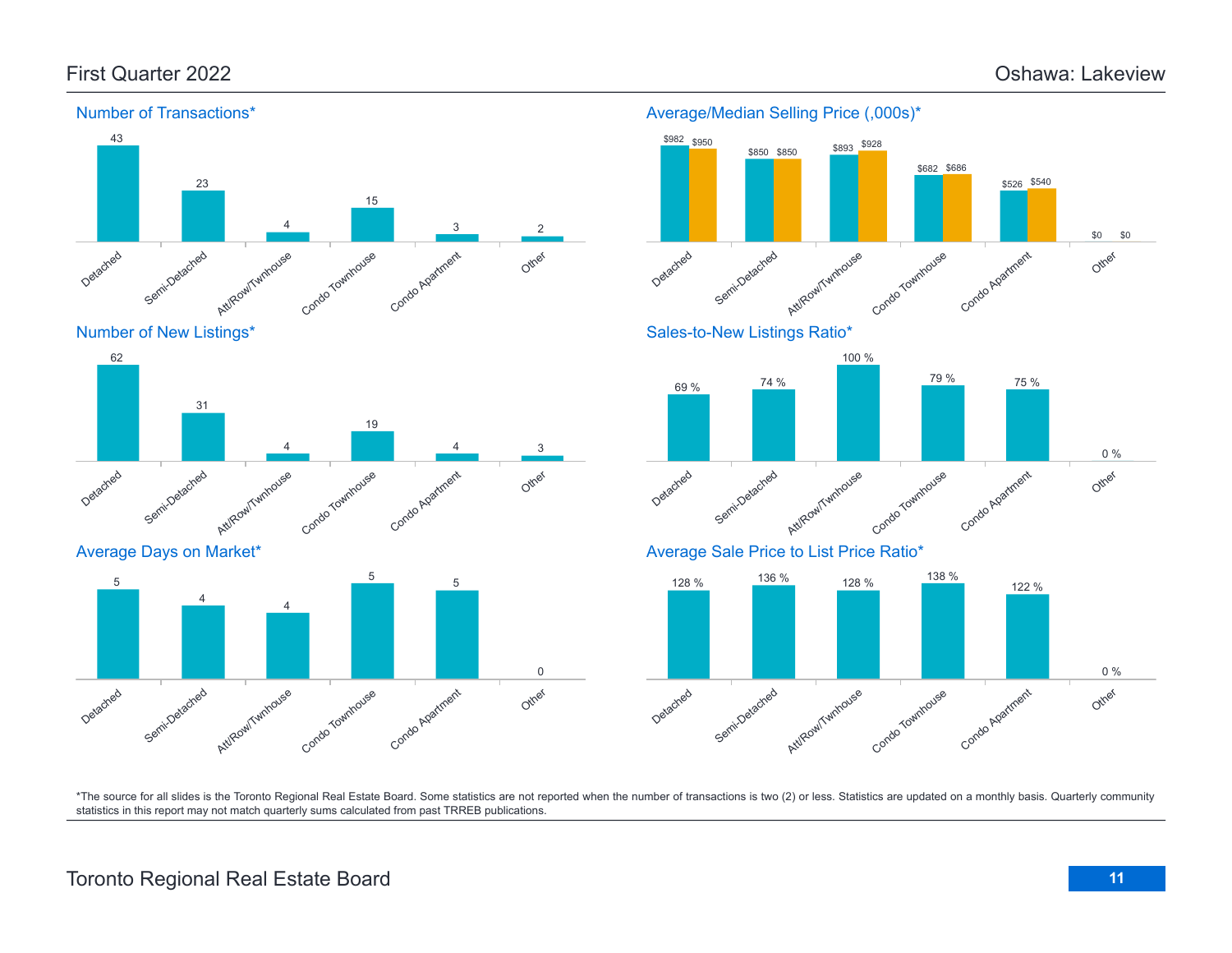Other

Other

Other

0 %

0 %

\$0 \$0



\*The source for all slides is the Toronto Regional Real Estate Board. Some statistics are not reported when the number of transactions is two (2) or less. Statistics are updated on a monthly basis. Quarterly community statistics in this report may not match quarterly sums calculated from past TRREB publications.

## Toronto Regional Real Estate Board **11**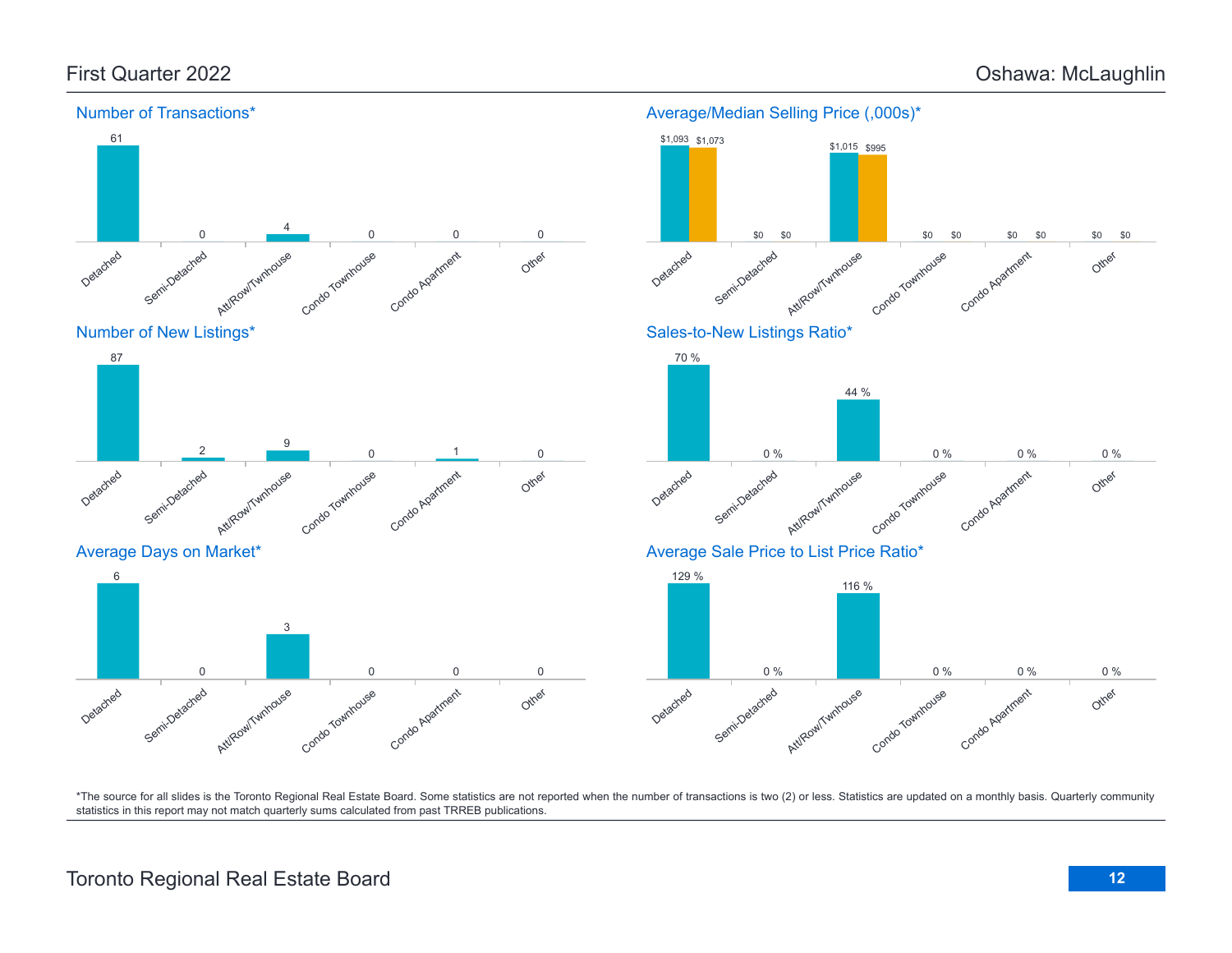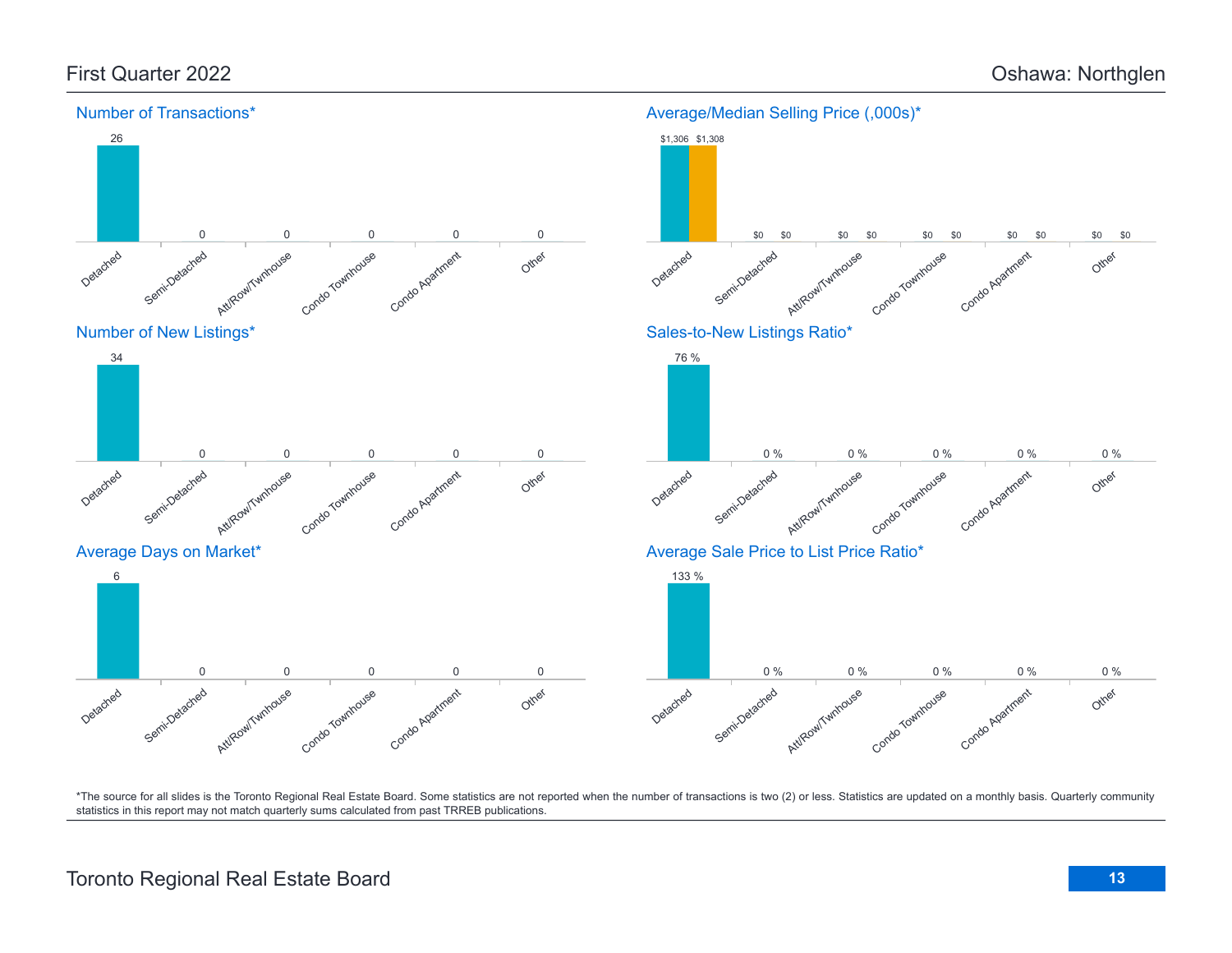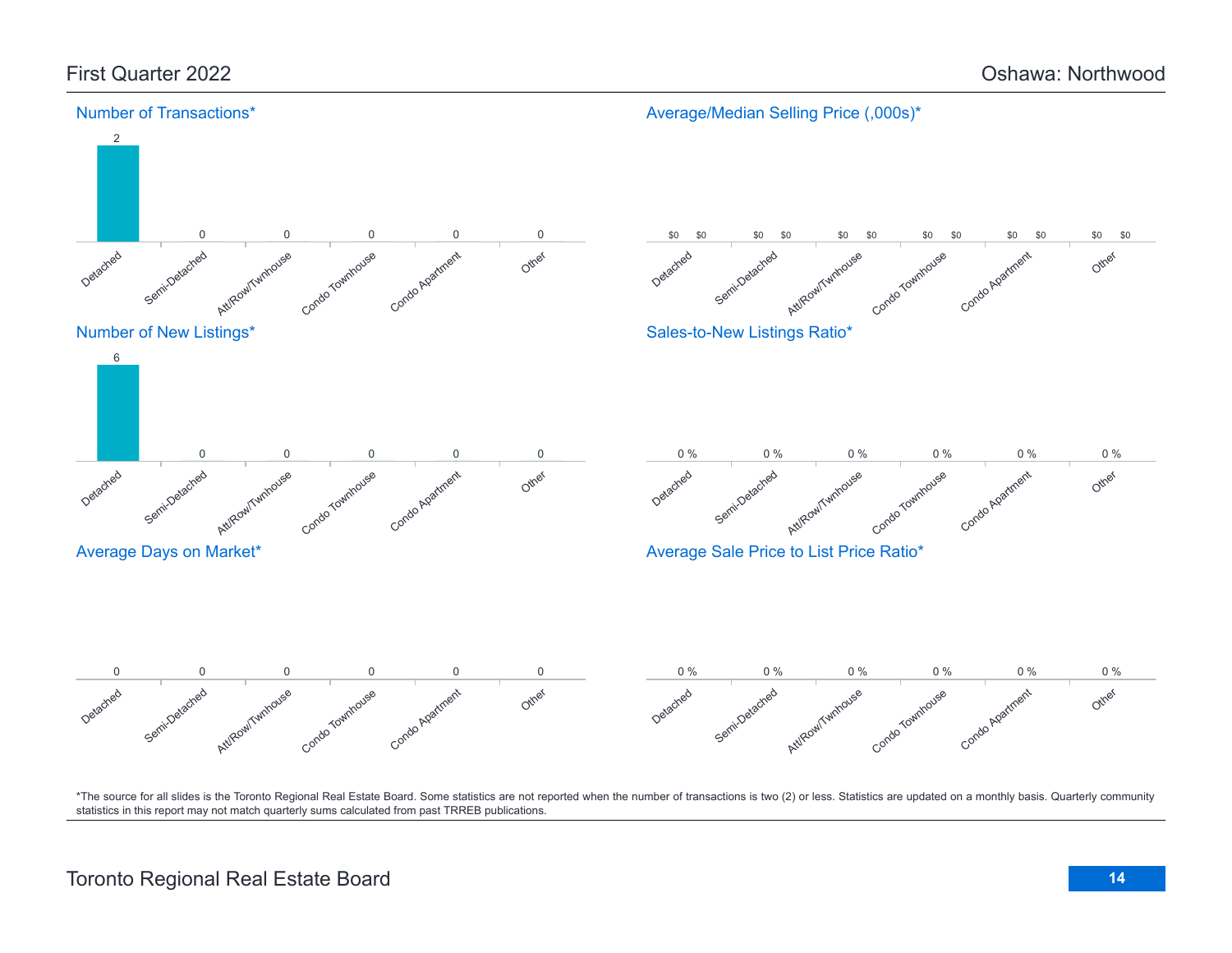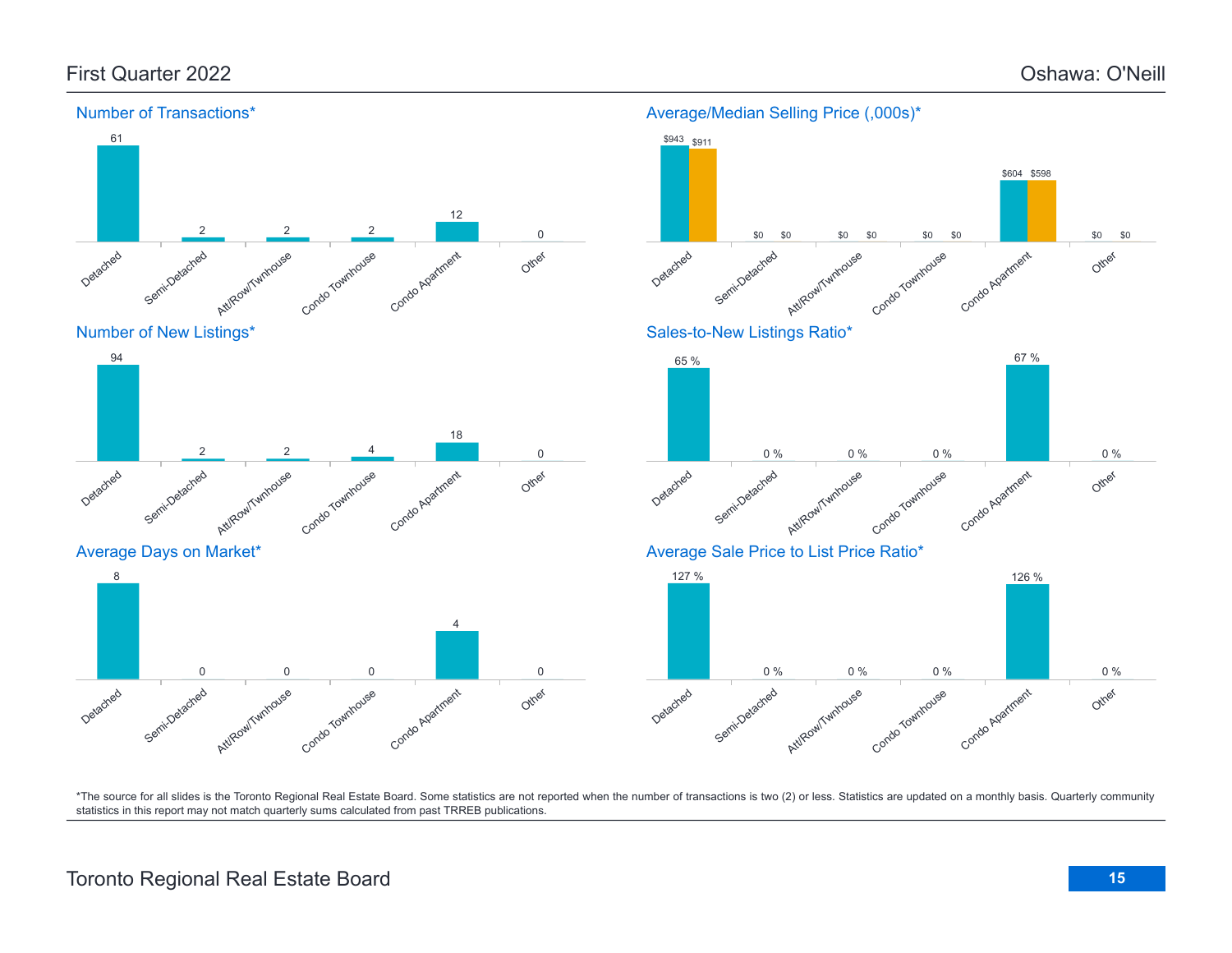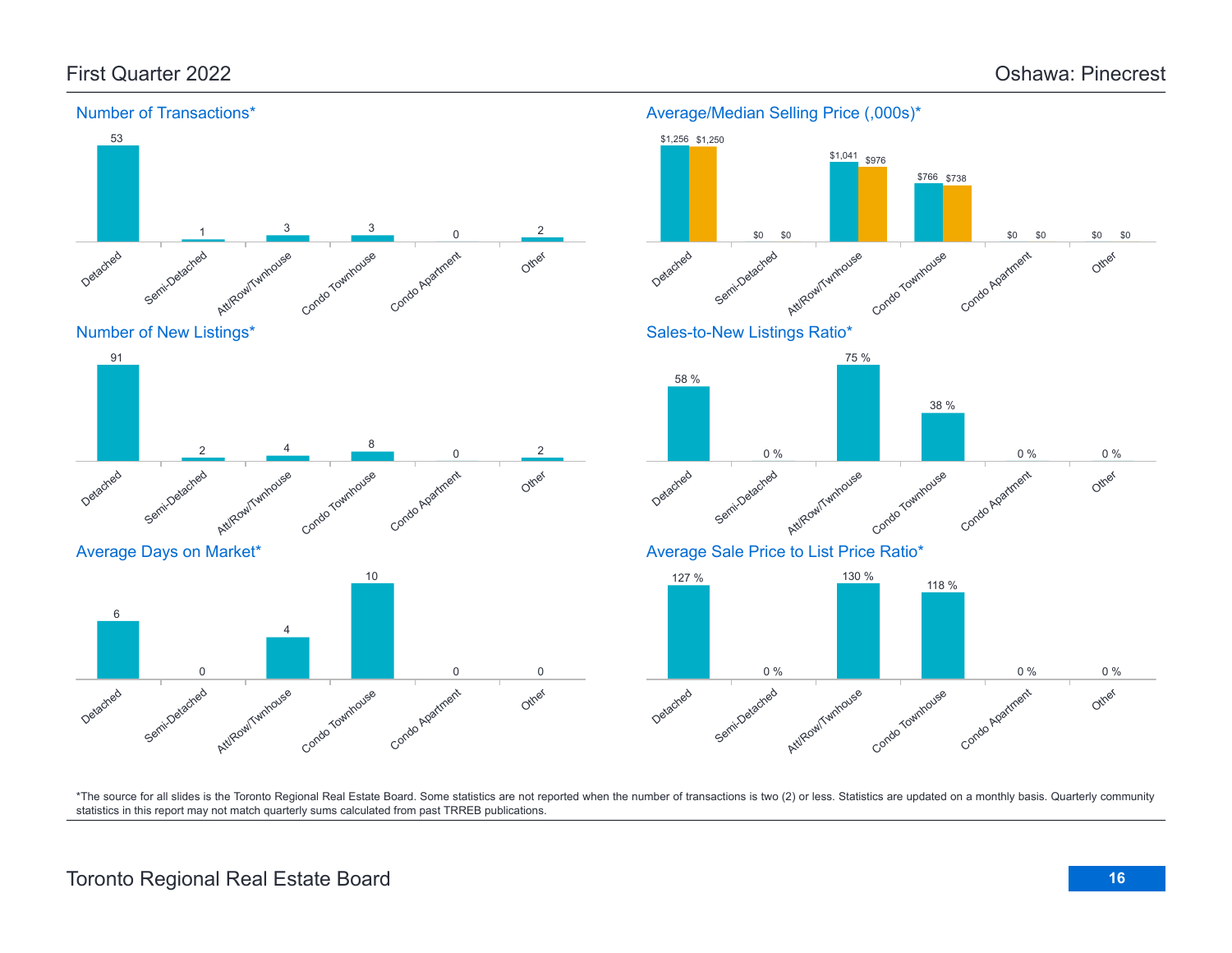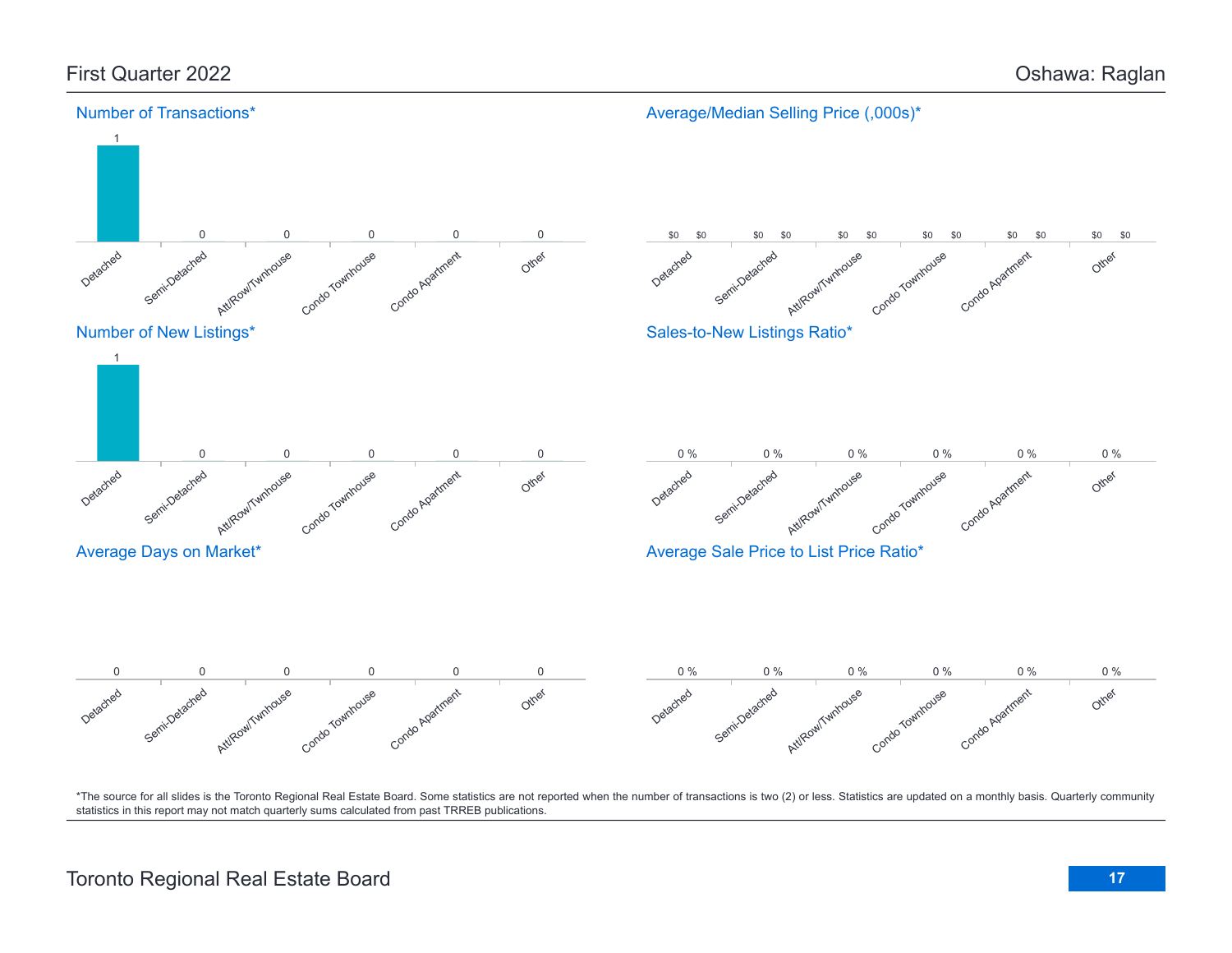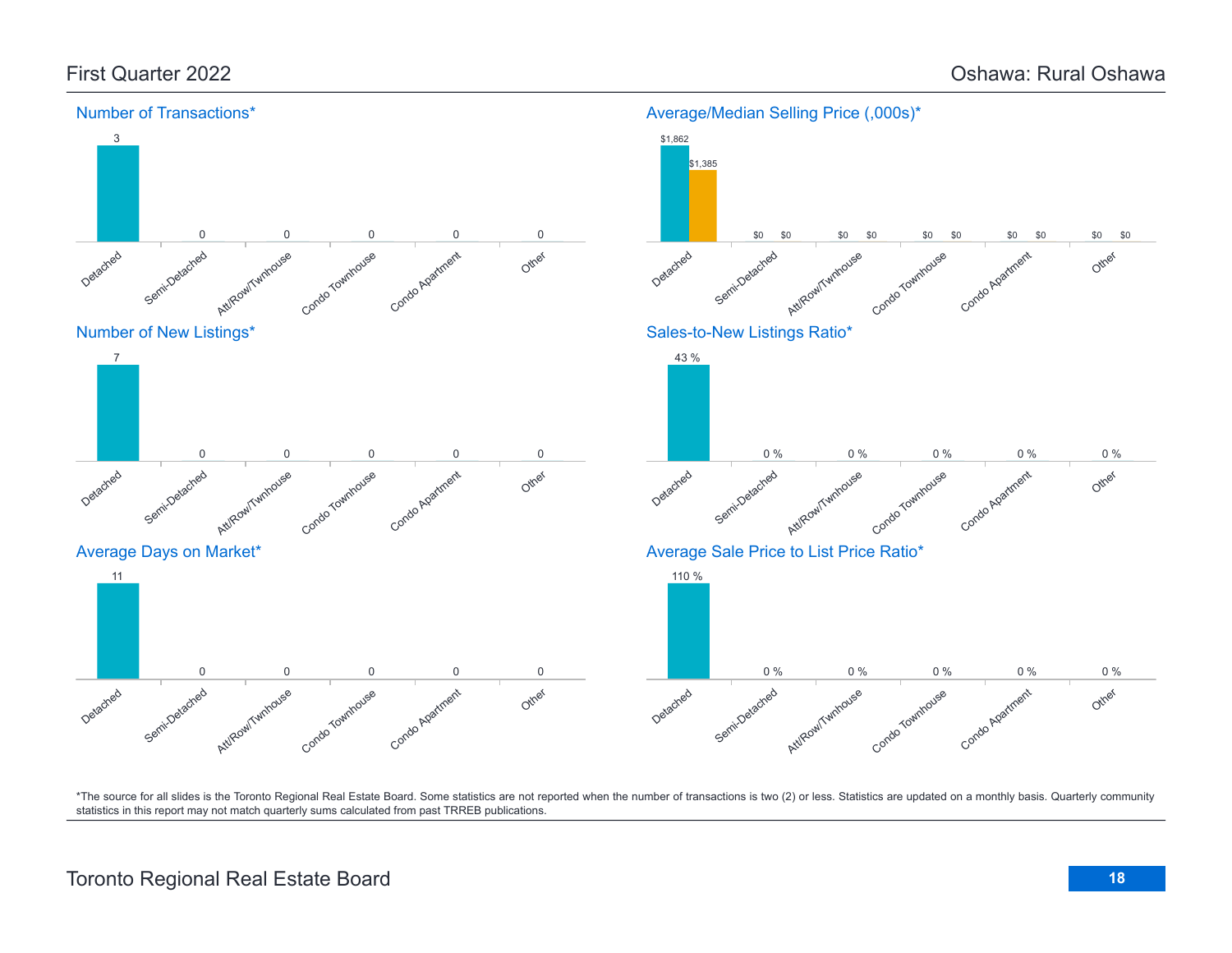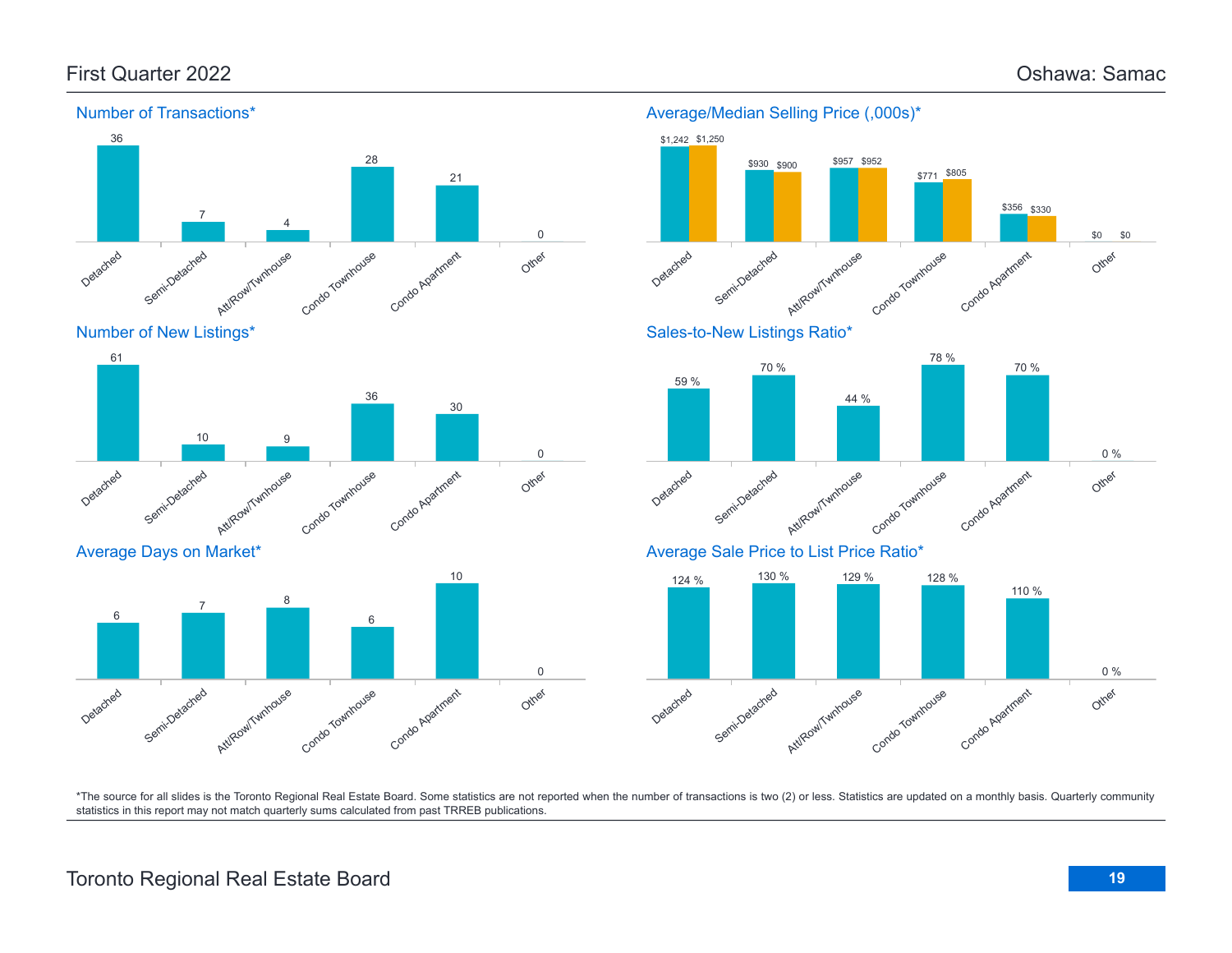



Average Days on Market\*





Average/Median Selling Price (,000s)\*

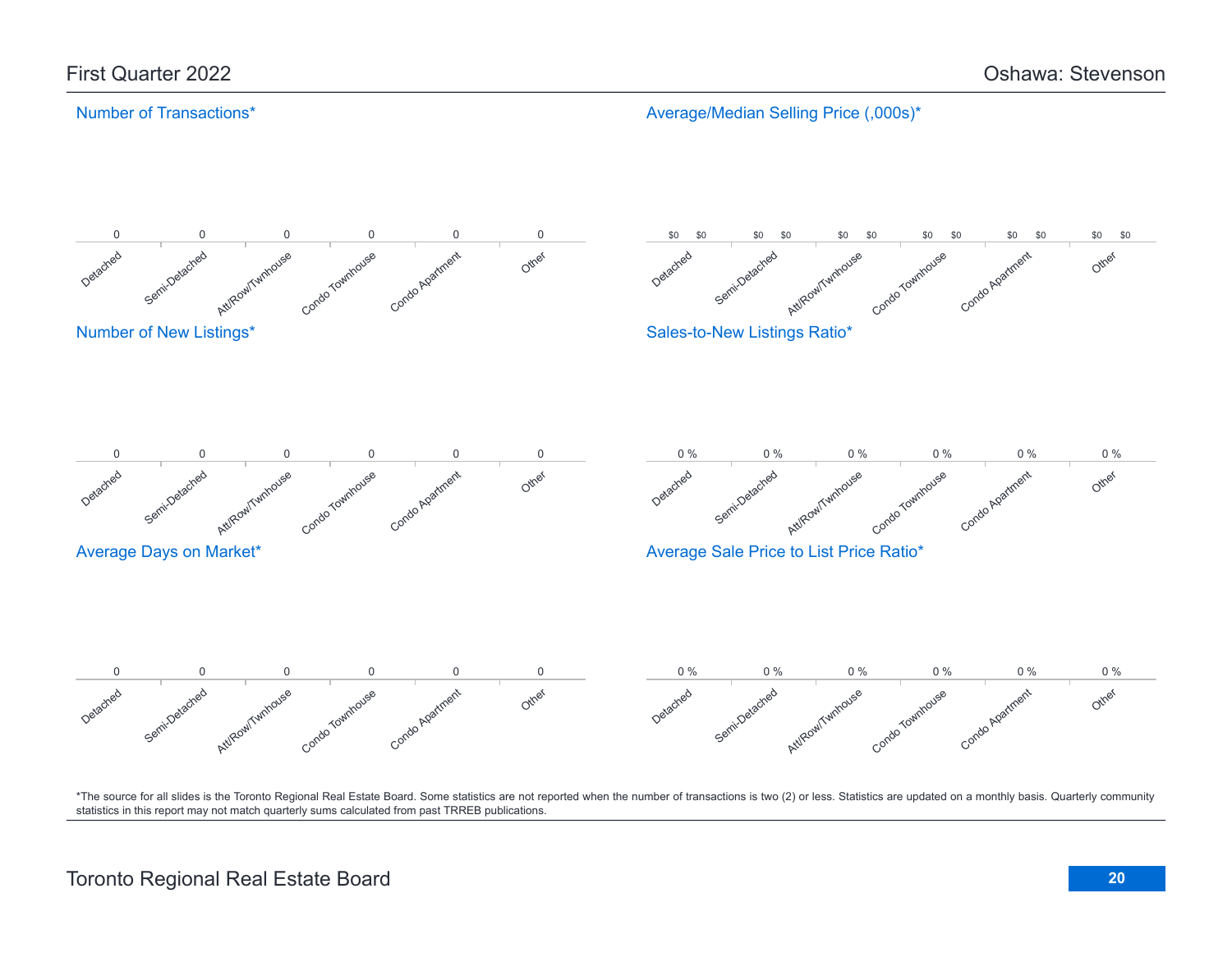### Number of Transactions\*

Average/Median Selling Price (,000s)\*

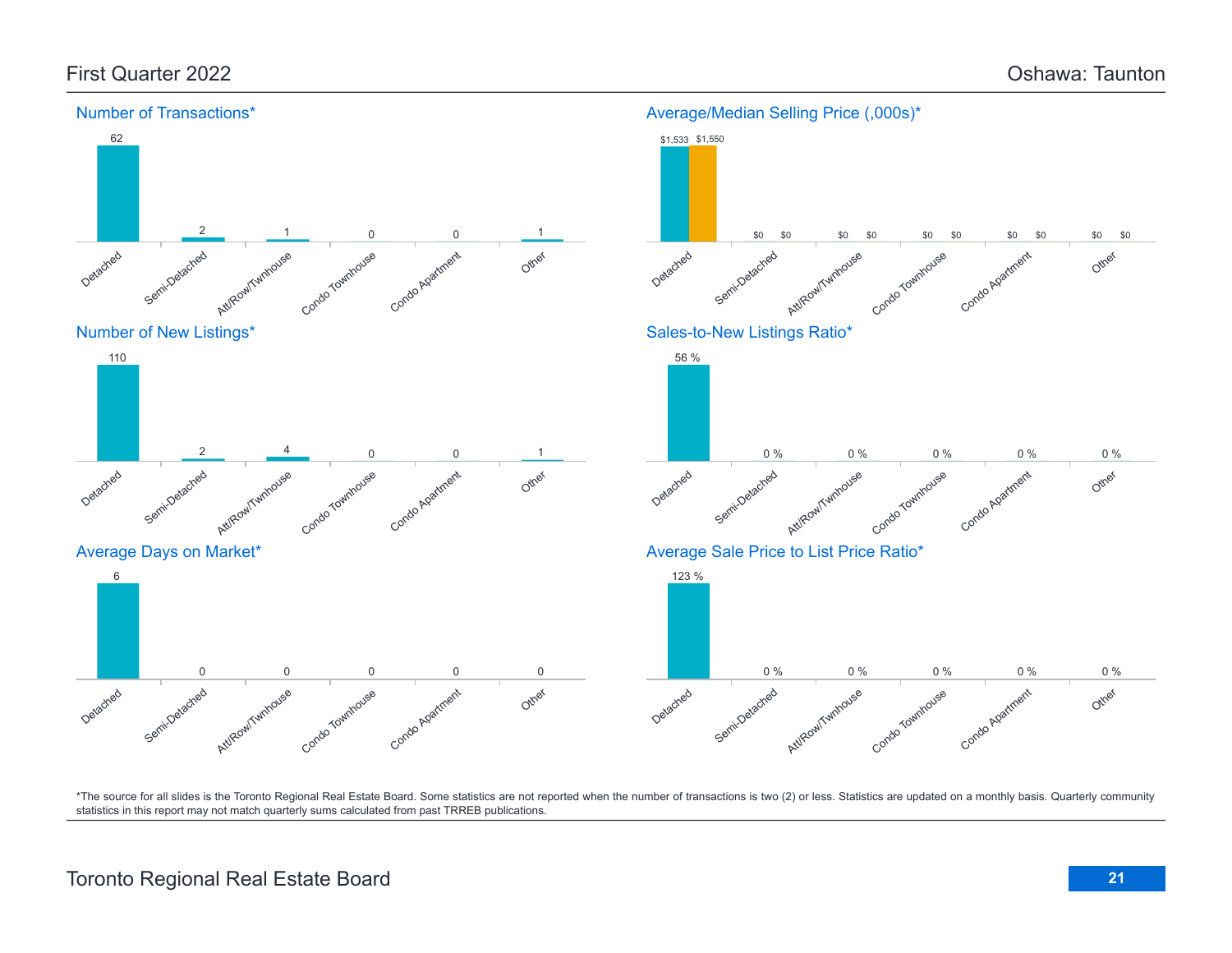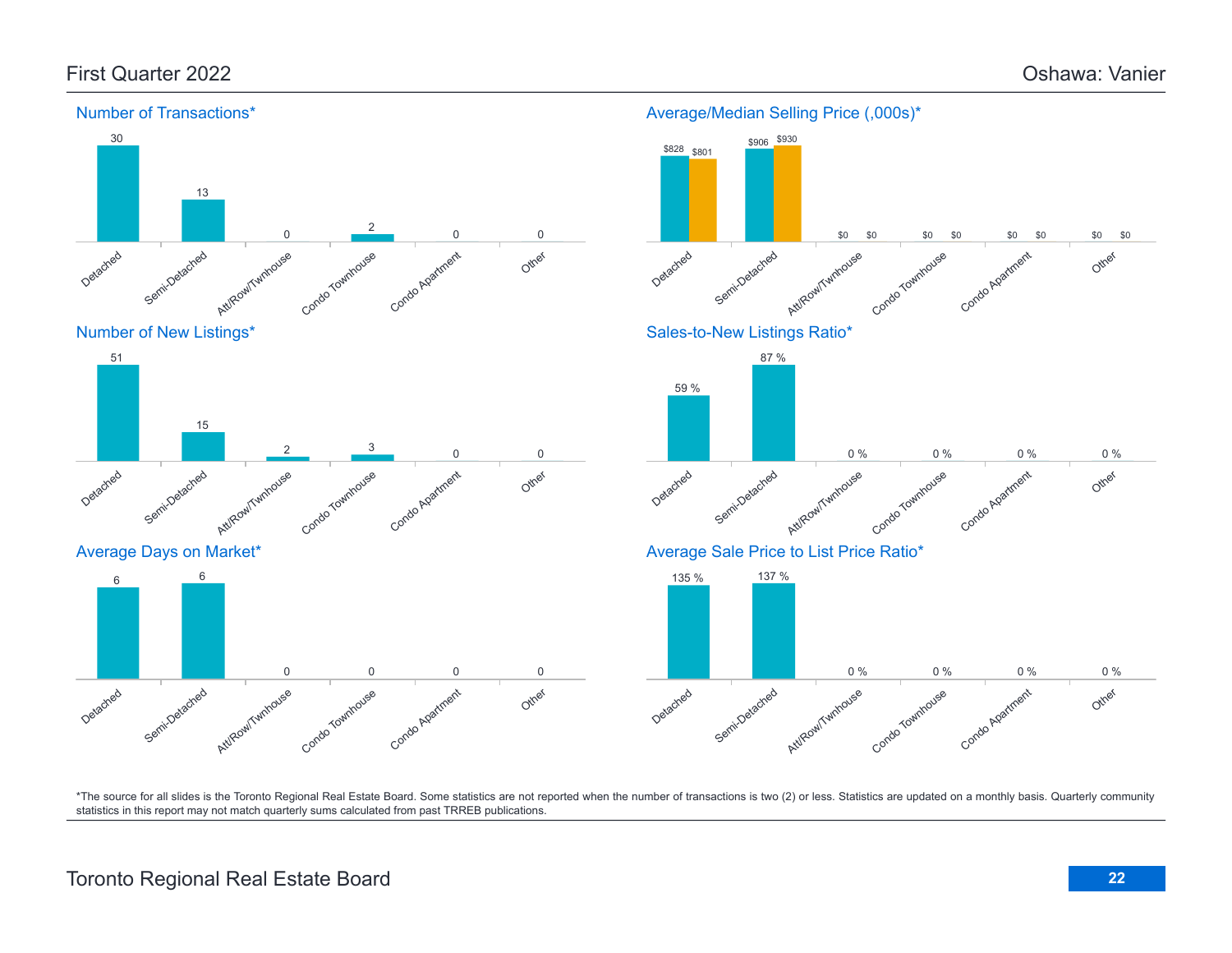